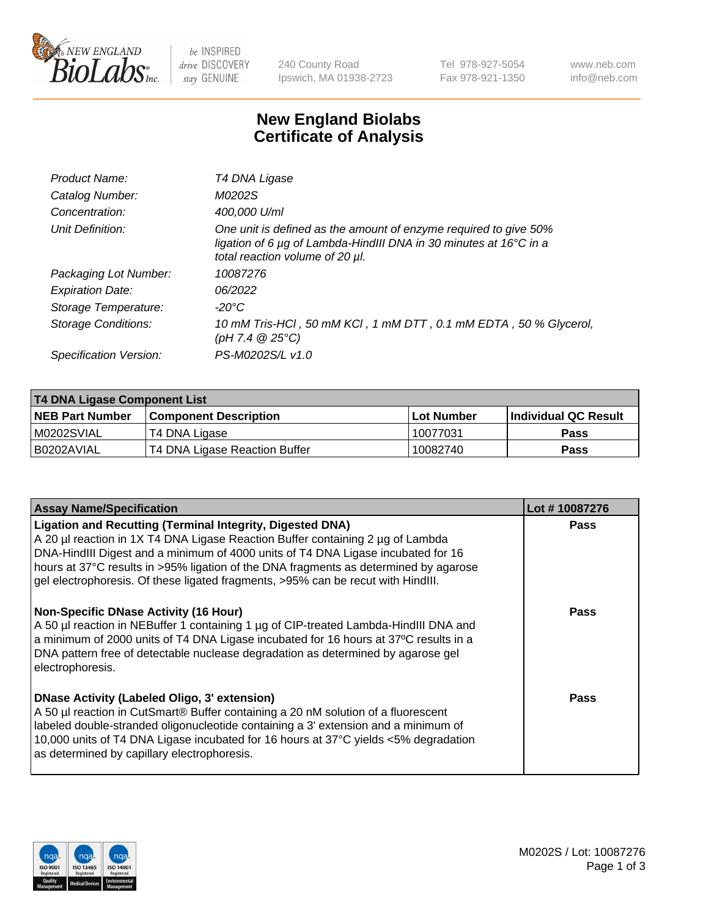

be INSPIRED drive DISCOVERY stay GENUINE

240 County Road Ipswich, MA 01938-2723 Tel 978-927-5054 Fax 978-921-1350 www.neb.com info@neb.com

## **New England Biolabs Certificate of Analysis**

| Product Name:              | T4 DNA Ligase                                                                                                                                                            |
|----------------------------|--------------------------------------------------------------------------------------------------------------------------------------------------------------------------|
| Catalog Number:            | M0202S                                                                                                                                                                   |
| Concentration:             | 400,000 U/ml                                                                                                                                                             |
| Unit Definition:           | One unit is defined as the amount of enzyme required to give 50%<br>ligation of 6 µg of Lambda-HindIII DNA in 30 minutes at 16°C in a<br>total reaction volume of 20 µl. |
| Packaging Lot Number:      | 10087276                                                                                                                                                                 |
| <b>Expiration Date:</b>    | 06/2022                                                                                                                                                                  |
| Storage Temperature:       | $-20^{\circ}$ C                                                                                                                                                          |
| <b>Storage Conditions:</b> | 10 mM Tris-HCl, 50 mM KCl, 1 mM DTT, 0.1 mM EDTA, 50 % Glycerol,<br>(pH 7.4 $@25°C$ )                                                                                    |
| Specification Version:     | PS-M0202S/L v1.0                                                                                                                                                         |

| T4 DNA Ligase Component List |                               |              |                             |  |
|------------------------------|-------------------------------|--------------|-----------------------------|--|
| <b>NEB Part Number</b>       | <b>Component Description</b>  | l Lot Number | <b>Individual QC Result</b> |  |
| M0202SVIAL                   | T4 DNA Ligase                 | 10077031     | <b>Pass</b>                 |  |
| I B0202AVIAL                 | T4 DNA Ligase Reaction Buffer | 10082740     | <b>Pass</b>                 |  |

| <b>Assay Name/Specification</b>                                                                                                                                                                                                                                                                                                                                                                                    | Lot #10087276 |
|--------------------------------------------------------------------------------------------------------------------------------------------------------------------------------------------------------------------------------------------------------------------------------------------------------------------------------------------------------------------------------------------------------------------|---------------|
| <b>Ligation and Recutting (Terminal Integrity, Digested DNA)</b><br>A 20 µl reaction in 1X T4 DNA Ligase Reaction Buffer containing 2 µg of Lambda<br>DNA-HindIII Digest and a minimum of 4000 units of T4 DNA Ligase incubated for 16<br>hours at 37°C results in >95% ligation of the DNA fragments as determined by agarose<br>gel electrophoresis. Of these ligated fragments, >95% can be recut with HindIII. | <b>Pass</b>   |
| <b>Non-Specific DNase Activity (16 Hour)</b><br>A 50 µl reaction in NEBuffer 1 containing 1 µg of CIP-treated Lambda-HindIII DNA and<br>a minimum of 2000 units of T4 DNA Ligase incubated for 16 hours at 37°C results in a<br>DNA pattern free of detectable nuclease degradation as determined by agarose gel<br>electrophoresis.                                                                               | Pass          |
| <b>DNase Activity (Labeled Oligo, 3' extension)</b><br>A 50 µl reaction in CutSmart® Buffer containing a 20 nM solution of a fluorescent<br>labeled double-stranded oligonucleotide containing a 3' extension and a minimum of<br>10,000 units of T4 DNA Ligase incubated for 16 hours at 37°C yields <5% degradation<br>as determined by capillary electrophoresis.                                               | Pass          |

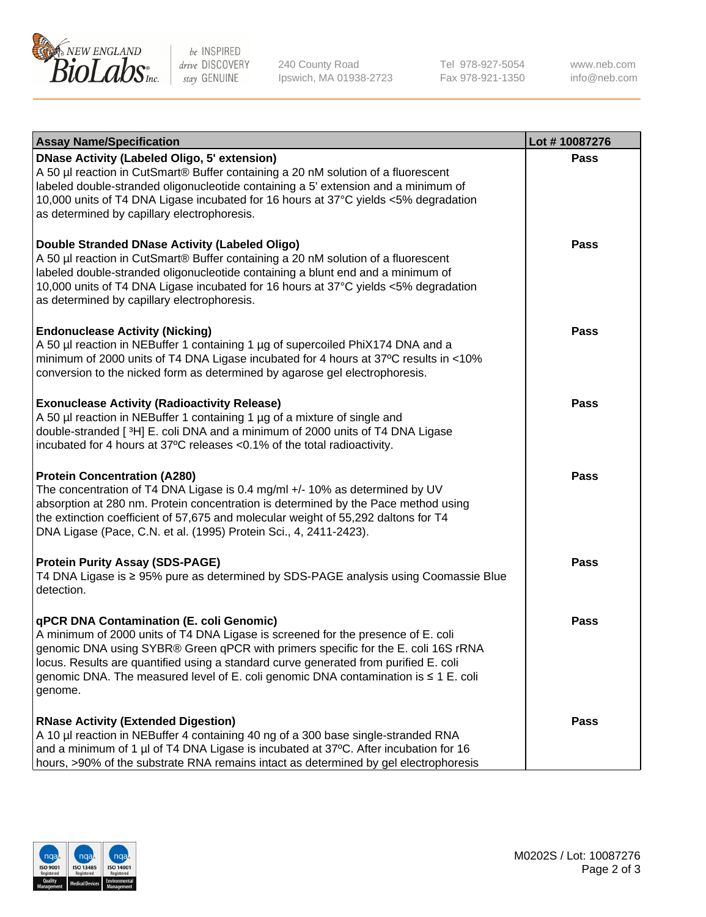

be INSPIRED drive DISCOVERY stay GENUINE

240 County Road Ipswich, MA 01938-2723 Tel 978-927-5054 Fax 978-921-1350

www.neb.com info@neb.com

| <b>Assay Name/Specification</b>                                                                                                                                                                                                                                                                                                                                                                             | Lot #10087276 |
|-------------------------------------------------------------------------------------------------------------------------------------------------------------------------------------------------------------------------------------------------------------------------------------------------------------------------------------------------------------------------------------------------------------|---------------|
| <b>DNase Activity (Labeled Oligo, 5' extension)</b><br>A 50 µl reaction in CutSmart® Buffer containing a 20 nM solution of a fluorescent<br>labeled double-stranded oligonucleotide containing a 5' extension and a minimum of<br>10,000 units of T4 DNA Ligase incubated for 16 hours at 37°C yields <5% degradation<br>as determined by capillary electrophoresis.                                        | <b>Pass</b>   |
| Double Stranded DNase Activity (Labeled Oligo)<br>A 50 µl reaction in CutSmart® Buffer containing a 20 nM solution of a fluorescent<br>labeled double-stranded oligonucleotide containing a blunt end and a minimum of<br>10,000 units of T4 DNA Ligase incubated for 16 hours at 37°C yields <5% degradation<br>as determined by capillary electrophoresis.                                                | <b>Pass</b>   |
| <b>Endonuclease Activity (Nicking)</b><br>A 50 µl reaction in NEBuffer 1 containing 1 µg of supercoiled PhiX174 DNA and a<br>minimum of 2000 units of T4 DNA Ligase incubated for 4 hours at 37°C results in <10%<br>conversion to the nicked form as determined by agarose gel electrophoresis.                                                                                                            | <b>Pass</b>   |
| <b>Exonuclease Activity (Radioactivity Release)</b><br>A 50 µl reaction in NEBuffer 1 containing 1 µg of a mixture of single and<br>double-stranded [3H] E. coli DNA and a minimum of 2000 units of T4 DNA Ligase<br>incubated for 4 hours at 37°C releases <0.1% of the total radioactivity.                                                                                                               | <b>Pass</b>   |
| <b>Protein Concentration (A280)</b><br>The concentration of T4 DNA Ligase is 0.4 mg/ml +/- 10% as determined by UV<br>absorption at 280 nm. Protein concentration is determined by the Pace method using<br>the extinction coefficient of 57,675 and molecular weight of 55,292 daltons for T4<br>DNA Ligase (Pace, C.N. et al. (1995) Protein Sci., 4, 2411-2423).                                         | <b>Pass</b>   |
| <b>Protein Purity Assay (SDS-PAGE)</b><br>T4 DNA Ligase is ≥ 95% pure as determined by SDS-PAGE analysis using Coomassie Blue<br>detection.                                                                                                                                                                                                                                                                 | <b>Pass</b>   |
| qPCR DNA Contamination (E. coli Genomic)<br>A minimum of 2000 units of T4 DNA Ligase is screened for the presence of E. coli<br>genomic DNA using SYBR® Green qPCR with primers specific for the E. coli 16S rRNA<br>locus. Results are quantified using a standard curve generated from purified E. coli<br>genomic DNA. The measured level of E. coli genomic DNA contamination is ≤ 1 E. coli<br>genome. | Pass          |
| <b>RNase Activity (Extended Digestion)</b><br>A 10 µl reaction in NEBuffer 4 containing 40 ng of a 300 base single-stranded RNA<br>and a minimum of 1 µl of T4 DNA Ligase is incubated at 37°C. After incubation for 16<br>hours, >90% of the substrate RNA remains intact as determined by gel electrophoresis                                                                                             | <b>Pass</b>   |